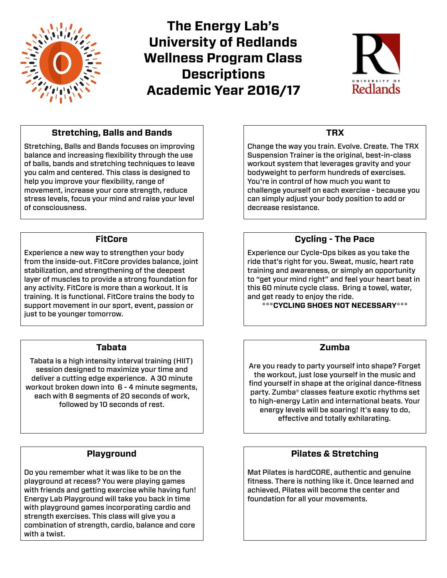

**The Energy Lab's University of Redlands Wellness Program Class Descriptions Academic Year 2016/17**



# **Stretching, Balls and Bands**

Stretching, Balls and Bands focuses on improving balance and increasing flexibility through the use of balls, bands and stretching techniques to leave you calm and centered. This class is designed to help you improve your flexibility, range of movement, increase your core strength, reduce stress levels, focus your mind and raise your level of consciousness.

#### **FitCore**

Experience a new way to strengthen your body from the inside-out. FitCore provides balance, joint stabilization, and strengthening of the deepest layer of muscles to provide a strong foundation for any activity. FitCore is more than a workout. It is training. It is functional. FitCore trains the body to support movement in our sport, event, passion or just to be younger tomorrow.

## **Tabata**

Tabata is a high intensity interval training (HIIT) session designed to maximize your time and deliver a cutting edge experience. A 30 minute workout broken down into 6 - 4 minute segments, each with 8 segments of 20 seconds of work, followed by 10 seconds of rest.

## **Playground**

Do you remember what it was like to be on the playground at recess? You were playing games with friends and getting exercise while having fun! Energy Lab Playground will take you back in time with playground games incorporating cardio and strength exercises. This class will give you a combination of strength, cardio, balance and core with a twist.

## **TRX**

Change the way you train. Evolve. Create. The TRX Suspension Trainer is the original, best-in-class workout system that leverages gravity and your bodyweight to perform hundreds of exercises. You're in control of how much you want to challenge yourself on each exercise - because you can simply adjust your body position to add or decrease resistance.

## **Cycling - The Pace**

Experience our Cycle-Ops bikes as you take the ride that's right for you. Sweat, music, heart rate training and awareness, or simply an opportunity to "get your mind right" and feel your heart beat in this 60 minute cycle class. Bring a towel, water, and get ready to enjoy the ride.

**\*\*\*CYCLING SHOES NOT NECESSARY\*\*\*** 

## **Zumba**

Are you ready to party yourself into shape? Forget the workout, just lose yourself in the music and find yourself in shape at the original dance-fitness party. Zumba® classes feature exotic rhythms set to high-energy Latin and international beats. Your energy levels will be soaring! It's easy to do, effective and totally exhilarating.

## **Pilates & Stretching**

Mat Pilates is hardCORE, authentic and genuine fitness. There is nothing like it. Once learned and achieved, Pilates will become the center and foundation for all your movements.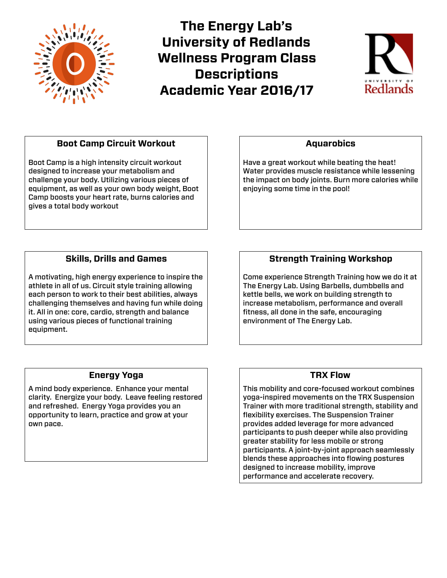

**The Energy Lab's University of Redlands Wellness Program Class Descriptions Academic Year 2016/17**



# **Boot Camp Circuit Workout**

Boot Camp is a high intensity circuit workout designed to increase your metabolism and challenge your body. Utilizing various pieces of equipment, as well as your own body weight, Boot Camp boosts your heart rate, burns calories and gives a total body workout

# **Skills, Drills and Games**

A motivating, high energy experience to inspire the athlete in all of us. Circuit style training allowing each person to work to their best abilities, always challenging themselves and having fun while doing it. All in one: core, cardio, strength and balance using various pieces of functional training equipment.

## **Aquarobics**

Have a great workout while beating the heat! Water provides muscle resistance while lessening the impact on body joints. Burn more calories while enjoying some time in the pool!

# **Strength Training Workshop**

Come experience Strength Training how we do it at The Energy Lab. Using Barbells, dumbbells and kettle bells, we work on building strength to increase metabolism, performance and overall fitness, all done in the safe, encouraging environment of The Energy Lab.

## **Energy Yoga**

A mind body experience. Enhance your mental clarity. Energize your body. Leave feeling restored and refreshed. Energy Yoga provides you an opportunity to learn, practice and grow at your own pace.

## **TRX Flow**

This mobility and core-focused workout combines yoga-inspired movements on the TRX Suspension Trainer with more traditional strength, stability and flexibility exercises. The Suspension Trainer provides added leverage for more advanced participants to push deeper while also providing greater stability for less mobile or strong participants. A joint-by-joint approach seamlessly blends these approaches into flowing postures designed to increase mobility, improve performance and accelerate recovery.